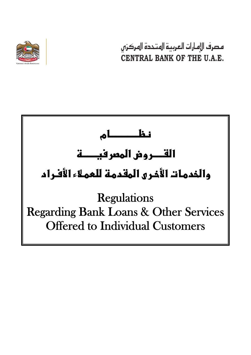

مصرف الإمارات العربية الهتحدة الهركزس CENTRAL BANK OF THE U.A.E.

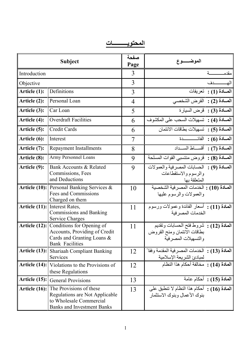**المحتويــــــــــات** 

|                  | Subject                                                                                                                   | صفحة | الموضــــــوع                                                                                 |
|------------------|---------------------------------------------------------------------------------------------------------------------------|------|-----------------------------------------------------------------------------------------------|
|                  |                                                                                                                           | Page |                                                                                               |
| Introduction     |                                                                                                                           | 3    |                                                                                               |
| Objective        |                                                                                                                           | 3    |                                                                                               |
| Article (1):     | Definitions                                                                                                               | 3    | المسادة (1) : تعريفات                                                                         |
| Article (2):     | Personal Loan                                                                                                             | 4    | المادة (2) : القرض الشخصي                                                                     |
| Article (3):     | Car Loan                                                                                                                  | 5    | المادة (3) : قرض السيارة                                                                      |
| Article (4):     | <b>Overdraft Facilities</b>                                                                                               | 6    | المصادة (4) : تسهيلات السحب على المكتَّنوف                                                    |
| Article (5):     | <b>Credit Cards</b>                                                                                                       | 6    | المسادة (5) : تسهيلات بطاقات الائتمان                                                         |
| Article (6):     | Interest                                                                                                                  | 7    | المسادة (6) : الفائـــــــــــــدة                                                            |
| Article (7):     | <b>Repayment Installments</b>                                                                                             | 8    | المعادة (7) : أقساط السداد                                                                    |
| Article (8):     | Army Personnel Loans                                                                                                      | 9    | المصادة (8) : قروض منتسبي القوات المسلحة                                                      |
| Article (9):     | Bank Accounts & Related<br>Commissions, Fees<br>and Deductions                                                            | 9    | المصادة (9) : الحسابات المصر فية والعمولات<br>والرسوم والاستقطاعات<br>المتعلقة بها            |
|                  | <b>Article (10):</b> Personal Banking Services $\&$<br>Fees and Commissions<br>Charged on them                            | 10   | المادة (10) : الخدمات المصر فية الشخصية<br>والعمولات والرسوم عليها                            |
| Article (11):    | Interest Rates,<br><b>Commissions and Banking</b><br>Service Charges                                                      | 11   | ا <b>لمادة (11) :</b> أسعار الفائدة وعمولات ورسوم<br>الخدمات المصر فبة                        |
| Article (12):    | Conditions for Opening of<br>Accounts, Providing of Credit<br>Cards and Granting Loans &<br><b>Bank Facilities</b>        | 11   | المعادة (12) : شروط فتح الحسابات وتقديم<br>بطاقات الائتمان ومنح القروض<br>والتسهيلات المصرفية |
| Article (13):    | <b>Shariaah Compliant Banking</b><br>Services                                                                             | 12   | المعادة (13) : الخدمات المصرفية المقدمة وفقاً<br>لمبادئ الشريعة الإسلامية                     |
| Article (14):    | Violations to the Provisions of<br>these Regulations                                                                      | 12   | المادة (14) : مخالفة أحكام هذا النظام                                                         |
| Article $(15)$ : | <b>General Provisions</b>                                                                                                 | 13   | المعادة (15) : أحكام عامة                                                                     |
| Article $(16)$ : | The Provisions of these<br>Regulations are Not Applicable<br>to Wholesale Commercial<br><b>Banks and Investment Banks</b> | 13   | المعادة (16) : أحكام هذا النظام لا تنطبق على<br>بنوك الأعمال وبنوك الاستثمار                  |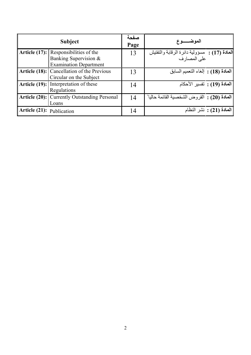|                                  | <b>Subject</b>                                                                                         | صفحة<br>Page | الموضيوع                                                             |
|----------------------------------|--------------------------------------------------------------------------------------------------------|--------------|----------------------------------------------------------------------|
|                                  | <b>Article (17):</b> Responsibilities of the<br>Banking Supervision &<br><b>Examination Department</b> | 13           | ا <b>لمادة (1</b> 7) : مسؤولية دائرة الرقابة والتفتيش<br>على المصارف |
|                                  | <b>Article (18):</b> Cancellation of the Previous<br>Circular on the Subject                           | 13           | المعادة (18) : إلغاء التعميم السابق                                  |
|                                  | <b>Article (19):</b> Interpretation of these<br><b>Regulations</b>                                     | 14           | ا <b>لمادة (19) :</b> تفسير الأحكام                                  |
|                                  | <b>Article (20):</b> Currently Outstanding Personal<br>Loans                                           | 14           | المادة (20) : القروض الشخصية القائمة حالياً                          |
| <b>Article (21):</b> Publication |                                                                                                        | 14           | ا <b>لمادة (21) :</b> نشر النظام                                     |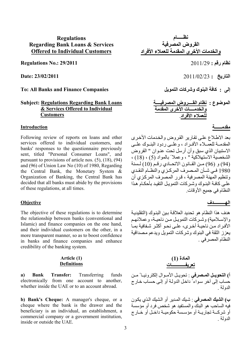## **Regulations Regarding Bank Loans & Services Offered to Individual Customers**

**Regulations No.: 29/2011** 

**Date: 23/02/2011** 

#### **To: All Banks and Finance Companies**

### **Subject: Regulations Regarding Bank Loans & Services Offered to Individual Customers**

# **مقدمــــــة Introduction**

Following review of reports on loans and other services offered to individual customers, and banks' responses to the questionnaire previously sent, titled "Personal Consumer Loans", and pursuant to provisions of article nos. (5), (18), (94) and (96) of Union Law No (10) of 1980, Regarding the Central Bank, the Monetary System & Organization of Banking, the Central Bank has decided that all banks must abide by the provisions of these regulations, at all times.

The objective of these regulations is to determine the relationship between banks (conventional and Islamic) and finance companies on the one hand, and their individual customers on the other, in a more transparent manner, so as to boost confidence in banks and finance companies and enhance credibility of the banking system.

# **Article (1) Definitions**

**a) Bank Transfer:** Transferring funds electronically from one account to another, whether inside the UAE or to an account abroad.

**b) Bank's Cheque:** A manager's cheque, or a cheque where the bank is the drawer and the beneficiary is an individual, an establishment, a commercial company or a government institution, inside or outside the UAE.

**نظـــــام القروض المصرفية والخدمات الأخرى المقدمة للعملاء الأفراد** 

**نظام رقم :** 2011/29

**التاريخ :** 2011/02/23

**إلى : آافة البنوك وشرآات التمويل** 

**الموضوع : نظام القــــروض المصرفيــــة والخدمــــات الأخرى المقدمة للعملاء الأفراد**.

بعد الاطلاع على تقارير القروض والخدمات الأخرى .<br>المقدمـة للعمــلاء الأفـراد ، وعلــى ردود البنــوك علــى الاستبيان الذي سبق وأن أرسل تحت عنـوان " القروض الشخصية الاستهلاآية " ، وعملاً بالمواد (5) ، (18) ، (94) و (96) من القانون الاتحادي رقيم (10) لسنة 1980 فـي شـأن المـصرف المركـزي والنظَـام النقـدي وتنظيم المهنة المصرفية ، قرر المصرف المركزي أن علـى كافـة البنـوك وشر كات التمويـل التقيـد بأحكـام هـذا النظام في جميع الأوقات.

### **Objective الهــــــــــدف**

هدف هذا النظام هو تحديد العلاقـة بـين البنـوك (التقليديـة والإسـلامية) وشْير كات التمويـل مين ناحيـة، و عملائهـم الأفر اد من ناحيـة أخـرى، علـى نحـو أكثـر شفافية بمـا يعز ز الثقة في البنوك وشركات التمويل ويدعم مصداقية النظام المصرفي .

## **المادة (1) تعريفــــــــــــات**

**أ) التحويـل المـصرفي** : تحويـل الأمـوال إلكترونيـاً مـن حساب إلى آخر سواءً داخل الدولة أو إلى حساب خارج الدولة .

**ب) الشيك المѧصرفي** : شѧيك المѧدير أو الѧشيك الѧذي يكѧون فيه الساحب هو البنك والمستفيد هو شخص فرد أو مؤسسة أو شركــة تجاريــة أو مؤسـسة حكوميــة داخـل أو خــارج الدولة .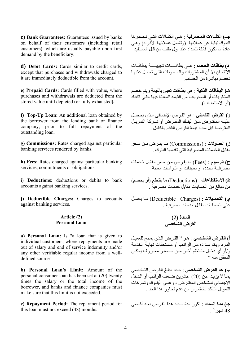**c) Bank Guarantees:** Guarantees issued by banks on behalf of their customers (including retail customers), which are usually payable upon first demand by the beneficiary.

**d) Debit Cards:** Cards similar to credit cards, except that purchases and withdrawals charged to it are immediately deductible from the account.

**e) Prepaid Cards:** Cards filled with value, where purchases and withdrawals are deducted from the stored value until depleted (or fully exhausted**).** 

**f) Top-Up Loan:** An additional loan obtained by the borrower from the lending bank or finance company, prior to full repayment of the outstanding loan.

**g) Commissions:** Rates charged against particular banking services rendered by banks.

**h) Fees:** Rates charged against particular banking services, commitments or obligations.

**i) Deductions:** deductions or debits to bank accounts against banking services.

**j) Deductible Charges:** Charges to accounts against banking services.

### **Article (2) Personal Loan**

**a) Personal Loan:** Is "a loan that is given to individual customers, where repayments are made out of salary and end of service indemnity and/or any other verifiable regular income from a welldefined source".

**b) Personal Loan's Limit:** Amount of the personal consumer loan has been set at (20) twenty times the salary or the total income of the borrower, and banks and finance companies must make sure that this limit is not exceeded.

**c) Repayment Period:** The repayment period for this loan must not exceed (48) months.

جـ) ا**لكفالات المصرفية** : هـى الكفالات التـي تـصدر ها البنوك نيابة عن عملائها (وتشمّل عملائها الأفّراد) وهي عادة ما تكون قابلة للسداد عند أول طلب من قبل المستفيد .

**د) بطاقѧات الخѧصم** : هѧـي بطاقـــѧـات شبيهـــѧـة ببطاقѧـات الائتمـان إلا أن المشتريات والسحوبات التـي تحمل عليهـا تخصم مباشرة من الحساب.

**هـ) البطاقات الذآية** : هي بطاقات تعبئ بالقيمة ويتم خѧصم المشتريات أو السحوبات من القيمة المعبئة فيها حتى النفاذ (أو الاستنضاب).

و**) القرض التكميلي** : هو القرض الإضـافي الذي يحصل عليـه المقتـر ض مـن البنـك المقـر ض أو شَـر كة التمويـل المقرضة قبل سداد قيمة القرض القائم بالكامل .

ز) العمـولات : (Commissions) مـا يفرض مـن سـعر مقابل الخدمات المصرفية التي تقدمها البنوك .

ح) ا**لرسو**م : (Fees) ما يفرض من سعر مقابل خدمات مصرفيـة محددة أو تعهدات أو التزامات معينة .

**ط) الاستقطاعات** : (Deductions (ما يقتطع (أو يخصم) من مبالغ من الحسابات مقابل خدمات مصرفية .

**ي) التحميلات** : (Deductible Charges) ما يحمل على الحسابات مقابل خدمات مصرفية .

# **المادة (2) القرض الشخصي**

.<br>**أ) القرض الشخصي** : هو " القرض الذي يمنح للعميل الْفر د ويتم سداده من الر اتب أو مستحقات نهايـة الخدمـة و/أو أي دخـل منـتظم آخـر مـن مـصدر معـروف يمكـن التحقق منه ''

**ب) حد القѧرض الشخѧصي** : حѧدد مبلѧغ القѧرض الشخѧصي بمـا لا يزيد عن (20) عشرين ضعف الراتب أو الـدخل الإجمـالي للـشخص المقتـر ض ، و علـي البنـوك وشـر كات التمويل التأآد باستمرار من عدم تجاوز هذا الحد .

ج**ـ) مدة السداد** : تكون مدة سداد هذا القرض بحد أقصى 48 شهراً .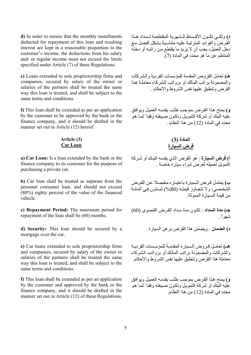**d)** In order to ensure that the monthly installments deducted for repayment of this loan and resulting interest are kept in a reasonable proportion to the customer's income, the deductions from his salary and/ or regular income must not exceed the limits specified under Article (7) of these Regulations.

**e)** Loans extended to sole proprietorship firms and companies, secured by salary of the owner or salaries of the partners shall be treated the same way this loan is treated, and shall be subject to the same terms and conditions.

**f)** This loan shall be extended as per an application by the customer to be approved by the bank or the finance company, and it should be drafted in the manner set out in Article (12) hereof.

# **Article (3) Car Loan**

**a) Car Loan:** Is a loan extended by the bank or the finance company to its customer for the purpose of purchasing a private car.

**b)** Car loan shall be treated as separate from the personal consumer loan, and should not exceed (80%) eighty percent of the value of the financed vehicle.

**c) Repayment Period:** The maximum period for repayment of the loan shall be (60) months.

**d) Security:** This loan should be secured by a . السيارة برهن القرض هذا ويضمن : **الضمان) د** mortgage over the car.

**e)** Car loans extended to sole proprietorship firms and companies, secured by salary of the owner or salaries of the partners shall be treated the same way this loan is treated, and shall be subject to the same terms and conditions.

**f)** This loan shall be extended as per an application by the customer and approved by the bank or the finance company, and it should be drafted in the manner set out in Article (12) of these Regulations.

**د) ولكبي تكون الأقساط الـشهرية المقتطعـة لـسداد هـذا** القرض والفوائد المترتبـة عليـه متناسبة بشكل أفضل مـع دخل العميل، يجب أن لا يزيد ما يقتطع من راتبه أو دخله المنتظم عن ما هو محدد في المادة (7).

**هـ)** تعامل القروض المقدمة للمؤسسات الفردية والѧشرآات والْمضمونة براتب المالك أو برواتب الشركاء معاملة هذا القرض وتنطبق عليها نفس الشروط والأحكام .

و) يمنح هذا القرض بموجب طلب يقدمه العميل ويوافق عليه البنك أو شركة التمويل وتكون صبغته وفقاً لما هو محدد في المادة (12) من هذا النظام .

**المادة (3) قرض السيارة**

أ**) قرض السيارة** : هو القرض الذي يقدمه البنك أو شركة التمويل لعميله لغرض شراء سيارة خاصة .

**ب) يع**امل قرض السيارة باعتباره منفصلا عن القرض الشخصي، ولا تتجاوز قيمته (80%) ثمـانون فـي المائـة من قيمة السـيارة الممولة.

**جـ) مدة السداد** : تكـون مدة سѧداد القѧرض القѧصوى (60) شهراً .

هــ) تعامل قروض الـسيارة المقدمـة للمؤسسات الفرديـة والشركات والمضمونة براتب المالك أو بر واتب الشركاء معاملة هذا القرض وتنطبق عليها نفس الشروط والأحكام.

**وِ ) يمنح هذا القر ض بموجب طلب يقدمـه العميل ويوافق** عليه البِّنك أو شركة التمويل وتكون صبغته وفقا ً لما هو محدد في المادة (12) من هذا النظام.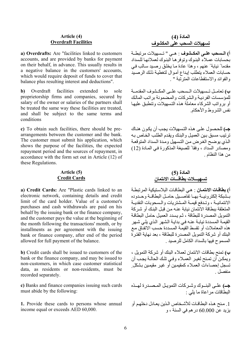# **Article (4) Overdraft Facilities**

**a) Overdrafts:** Are "facilities linked to customers accounts, and are provided by banks for payment on their behalf, in advance. This usually results in a negative balance in the customers' accounts, which would require deposit of funds to cover that balance plus resulting interest and deductions".

**b)** Overdraft facilities extended to sole proprietorship firms and companies, secured by salary of the owner or salaries of the partners shall be treated the same way these facilities are treated, and shall be subject to the same terms and conditions

**c)** To obtain such facilities, there should be prearrangements between the customer and the bank. The customer must submit his application, which shows the purpose of the facilities, the expected repayment period and the sources of repayment, in accordance with the form set out in Article (12) of these Regulations.

# **Article (5) Credit Cards**

**a) Credit Cards:** Are "Plastic cards linked to an electronic network, containing details and credit limit of the card holder. Value of a customer's purchases and cash withdrawals are paid on his behalf by the issuing bank or the finance company, and the customer pays the value at the beginning of the month following the transactions' month, or by installments as per agreement with the issuing bank or finance company, after end of the period allowed for full payment of the balance.

 **b)** Credit cards shall be issued to customers of the bank or the finance company, and may be issued to non-customers, in which case customer statistical data, as residents or non-residents, must be recorded separately.

 **c)** Banks and finance companies issuing such cards must abide by the following:

**1.** Provide these cards to persons whose annual income equal or exceeds AED 60,000.

**المادة (4) تسهيلات السحب على المكشوف**

**أ) الـسحب علـي المكـشوف** : هـي " تـسهيلات مرتبطـة بحسابات عمـلاء البنوك وتوفر هـا البنوك لعملائها للسداد مقدماً نيابةً عنهم ، وهذا عادة ما يخلق رصيد سالب في حسابات العملاء يتطلب إيداع أموال لتغطية ذلك الرصيد والفوائد والاستقطاعات المترتبة " .

ب) تعامل تـسهيلات الـسحب علـي المكـشوف المقدمـة للمؤسسات الفردية والشركات والمصمونة براتب المالك أو بر واتب الشركاء معاملة هذه التسهيلات وتنطبق عليها نفس الشروط والأحكام.

جـ) للحصول على هذه التسهيلات يجب أن يكون هناك ترتيب مسبق بين العميل والبنك ويقدم الطلب الخاص به الذي يوضح الغرض من التسهيل ومدة السداد المتوقعة ومصادر السداد ، وفقاً للصيغة المذكورة في المادة (12) من هذا النظام .

# **المادة (5) تسهيـــلات بطاقـــات الائتمان**

أ**) بطاقـات الائتمـان** : هي البطاقـات البلاستيكية المرتبطـة بهشبكة إلكترونيــة بهـا تفاصــيل حامـل البطاقــة وحـدوده الائتمانيـة ، وتـدفع قيمـة المـشتريات والـسحوبات النقديـة المتعلقة ببطاقة الاَئتمان نيابة عنـه من قبل البنك أو شر كة التمويل المصدرة للبطاقة ، ثم يسدد العميل حامل البطاقة القيمـة المسددة نيابـة عنـه فـي بدايـة الشهر الذي يلـي شـهر هذه المعاملات أو تقسط القيمة المسددة حسب الاتفاق مـع البنك أو شركة التمويل المصدرة للبطاقة ، بعد نهاية الفترة المسموح فيها بالسداد الكامل للرصيد .

**ب)** تمنح بطاقات الائتمان لعملاء البنك أو شرآة التمويل ، ويمكن أن تمنح لغير العملاء وفي تلك الحالـة يجب أن تسجل إحصاءات العملاء كمقيمين أو غير مقيمين بشكلٍ منفصل .

جه) علمى البنـوك وشـركات التمويـل المصـدرة لهـذه البطاقات مراعاة ما يلي :

1. منح هذه البطاقات للأشخاص الذين يعادل دخلهم أو يزيد عن 60.000 درهم في السنة ، و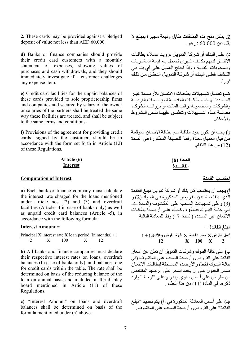**2.** These cards may be provided against a pledged deposit of value not less than AED 60,000.

**d)** Banks or finance companies should provide their credit card customers with a monthly statement of expenses, showing values of purchases and cash withdrawals, and they should immediately investigate if a customer challenges any expense item.

**e)** Credit card facilities for the unpaid balances of these cards provided to sole proprietorship firms and companies and secured by salary of the owner or salaries of the partners shall be treated the same way these facilities are treated, and shall be subject to the same terms and conditions.

**f)** Provisions of the agreement for providing credit cards, signed by the customer, should be in accordance with the form set forth in Article (12) of these Regulations.

**Article (6) Interest**

### **Computation of Interest الفائدة احتساب**

**a)** Each bank or finance company must calculate the interest rate charged for the loans mentioned under article nos. (2) and (3) and overdraft facilities (Article- 4 in case of banks only) as well as unpaid credit card balances (Article -5), in accordance with the following formula:

#### **Interest Amount =**

Principal **X** interest rate **X** loan period (in months) +1 2 X 100 X 12

**b)** All banks and finance companies must declare their respective interest rates on loans, overdraft balances (In case of banks only), and balances due for credit cards within the table. The rate shall be determined on basis of the reducing balance of the loan on annual basis and included in the display board mentioned in Article (11) of these Regulations.

**c)** "Interest Amount" on loans and overdraft balances shall be determined on basis of the formula mentioned under (a) above.

**.2** يمكن منح هذه البطاقات مقابل وديعة مجيѧرة بمبلѧغ لا يقل عن 60.000 درهم .

**د) علي البنك أو شركة التمويل تزويد عمـلاء بطاقـات** الائتمان لديهم بكشف شهري تѧسجل بѧه قيمѧة المѧشتريات والسحوبات النقديـة ، وإذا احتج العميل علمي أي بند في الكشف فعلى البنك أو شر كة التمويل التحقّق من ذلكً فورا.ً

هــ) تعامـل تـسهيلات بطاقـات الائتمـان للأرصـدة غيـر المــْسددة لهــذه البطاقــات المقدمــة للمؤســسات الفر ديـــة والشركات والمضمونة براتب المالك أو برواتب الشركاء معاملّة هـذه التـسهيلات وتنطبـق عليهـا نفس الـشروط والأحكام.

**و)** يجب أن تكون بنود اتفاقية منح بطاقѧة الائتمѧان الموقعѧة من قبل العميل معدة وفقاً للصيغة المذكورة في المادة (12) من هذا النظام.

**المادة (6) الفائــــدة**

أ**) يجب أن يحتسب كل بنك أو شر<sub>ر</sub>كة تمويل مبلـغ الفائدة** الذي يتقاضـاه عن القروض المذكورة فـي المـواد (2) و (3) وعلى تسهيلات السحب على المكشوف (المادة -4-في حالية البنيوك فقط) ، وكذلك علي أرصيدة بطاقيات الائتمان غير المسددة (المادة -5-) وفقا للمعادلة التالية:

 **مبلغ الفائدة = أصل القرض X سعر الفائدة X فترة القرض (بالأشهر) + 1 12 X 100 X 2** 

**ب)** على كافة البنوك وشر كات التمويل أن تعلن عن أسعار الفائدة على القروض وأرصدة السحب على المكشوف (في حالـة البنـوك فقط) والأرصـدة المستحقة لبطاقـات الائتمـان ضمن الجدول على أن يحدد السعر على الرصيد المتناقص من القرض على أساس سنوي ويدرج على اللوحة الوارد ذآرها في المادة (11) من هذا النظام .

جـ) على أساس المعادلة المذكورة في (أ) يتم تحديد "مبلغ الفائدة" على القروض وأرصدة السحب على المكشوف.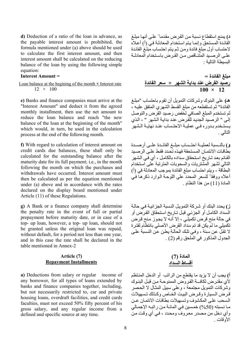**d)** Deduction of a ratio of the loan in advance, as the payable interest amount is prohibited, the formula mentioned under (a) above should be used to calculate the first interest amount, and then interest amount shall be calculated on the reducing balance of the loan by using the following simple equation:

### **Interest Amount =**

Loan balance at the begining of the month **×** Interest rate  $12 \times 100$ 

**e)** Banks and finance companies must arrive at the "Interest Amount" and deduct it from the agreed monthly installment, then use the net amount to reduce the loan balance and reach "the new balance of the loan at the beginning of the month" which would, in turn, be used in the calculation process at the end of the following month.

**f)** With regard to calculation of interest amount on credit cards due balances, these shall only be calculated for the outstanding balance after the maturity date for its full payment; i.e., in the month following the month on which the purchases and withdrawals have occurred. Interest amount must then be calculated as per the equation mentioned under (a) above and in accordance with the rates declared on the display board mentioned under Article (11) of these Regulations.

**g)** A Bank or a finance company shall determine the penalty rate in the event of full or partial prepayment before maturity date, or in case of a top- up loan, however, a top- up loan, should not be granted unless the original loan was repaid, without default, for a period not less than one year, and in this case the rate shall be declared in the table mentioned in Annex-2

# **Article (7) Repayment Installments**

**a)** Deductions from salary or regular income of any borrower, for all types of loans extended by banks and finance companies together, including, but not necessarily restricted to, car and private housing loans, overdraft facilities, and credit cards faculties, must not exceed 50% fifty percent of his gross salary, and any regular income from a defined and specific source at any time.

**د)** يمنع استقطاع نѧسبة مѧن القѧرض مقѧدماً علѧى أنهѧا مبلѧغ الفائدة المستحقّ وإنما يتم استخدام المعادلة في (أ) أعلاه لاحتساب أول مبلغ فائدة ومن ثم يتم احتساب مبلغ الفائدة علـى الرصيد المتناقص من القرض باستخدام المعادلـة البسيطة التالية :

# **مبلغ الفائدة = رصيد القرض عند بداية الشهر × سعر الفائدة**   $100 \times 12$

**هـ)** على البنوك وشرآات التمويل أن تقوم باحتساب "مبلѧغ الفائدة" ثم تستقطعه من مبلغ القسط الشهري المتفق عليѧه ، ثم تستخدم المبلغ الصافي لخفض رصيد القرض والتوصل إلى " الرصيد الجديد للقرض عند بدايـة الشهر " ، الذي يـستـخدم بـدور ه فـي عمليـة الاحتـساب عنـد نهايـة الـشهر التالي .

و) بالنـسبة لعمليــة احتـساب مبلــغ الفائــدة علــي أرصــدة بطاقات الائتمـان المستحقة فهذه تحدد فقط علـى الرصـيد القائم بعد تـار يخ استحقاق سداده بالكامـل ، أي فـي الشهر التالي لشهر المشتريات والسحوبات المترتبة على استخدام البطاقة ، ويتم احتساب مبلغ الفائدة بموجب المعادلة في (أ) أعلاه ووفقاً للسعر المحدد على اللوحة الوارد ذكرها في المادة (11) من هذا النظام .

زِّ ) يحدد البنك أو شركة التمويل النسبة الجز ائيـة ف*ي* حالـة الْسداد الكامل أو الجزئي قبل تـاريخ استحقاق القرض أو في حالة منح قرض تكميلّي ، إلا أنـه لا يجوز ً منح قرض ت<br>تكميلي ما لم يكن قد تم سداد القرض الأصلي بانتظام لفترة لا تقل عن سنة ، وفي تلك الحالة يعلن عن النسبة على الجدول المذآور في الملحق رقم (2) .

### **المادة (7) أقساط السداد**

**أ)** يجب أن لا يزيد ما يقتطع من الراتب أو الدخل المنѧتظم لأي مقترض لكافــة القروض الممنوحـة من قبـل البنـوك وشَركات التمويل مجتمعة ، وعلى سبيل المثـال لا الحصر قر ض الـسبار ة و قر ض البيت الخـاص وكـذلك تـسهيلات السحب على المكشوف وتسهيلات بطاقات الائتمان عـن مـا نـسبته (50%) خمسين فـي المائـة مـن راتبـه الإجمـالي وأي دخل من مصدر معروف ومحدد ، في أي وقت من الأوقات .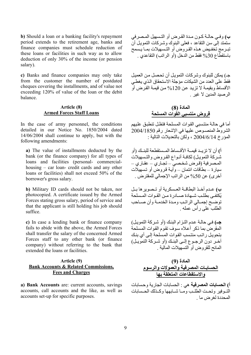**b)** Should a loan or a banking facility's repayment period extends to the retirement age, banks and finance companies must schedule reduction of these loans or facilities in such way as to allow deduction of only 30% of the income (or pension salary).

**c)** Banks and finance companies may only take from the customer the number of postdated cheques covering the installments, and of value not exceeding 120% of value of the loan or the debit balance.

### **Article (8) Armed Forces Staff Loans**

In the case of army personnel, the conditions detailed in our Notice No. 1850/2004 dated 14/06/2004 shall continue to apply, but with the following amendments:

**a)** The value of installments deducted by the bank (or the finance company) for all types of loans and facilities (personal- commercialhousing – car loan- credit cards and any other loans or facilities) shall not exceed 50% of the borrower's gross salary.

**b)** Military ID cards should not be taken, nor photocopied. A certificate issued by the Armed Forces stating gross salary, period of service and that the applicant is still holding his job should suffice.

**c)** In case a lending bank or finance company fails to abide with the above, the Armed Forces shall transfer the salary of the concerned Armed Forces staff to any other bank (or finance company) without referring to the bank that extended the loans or facilities.

# **Article (9) Bank Accounts & Related Commissions, Fees and Charges**

**a) Bank Accounts** are: current accounts, savings accounts, call accounts and the like, as well as accounts set-up for specific purposes.

**ب) وفي حالــة كـون مـدة القرض أو التسهيل المـصرفي** ستمتد إلى سن التقاعد ، فعلى البنوك وشركات التمويل أن تبرمج تخفيض هذه القروض أو التسهيلات بمـا يـسمح باستقطاع %30 فقط من الدخل (أو الراتب) التقاعدي .

جـ) يمكن للبنوك و شر كات التمويل أن تحصل من العميل فقط على العدد من الشبكات مؤجلة الاستحقاق الذي يغطي الأقساط وبقيمـة لا تزيد عن 120% من قيمـة القرص أو الرصيد المدين لا غير .

# **المادة (8) قروض منتسبي القوات المسلحة**

أما في حالـة منتسبي القوات المسلحة فتظل تنطبق عليهم الشروط المنصـوص عليها في الإشعار رقم 2004/1850 المؤرخ 2004/6/14 ، ولكن بالتعديلات التالية :

أ**) أن لا تزييد قيمية الأقسياط المستقطعة للبنيك (أو** شركة التمويل) لكافة أنواع القروض والتسهيلات المصرفية (قرض شخصي – تجاري – عقاري – سيار ة – بطاقات ائتمان – و أيـة قر و ض أو تسهيلات أخرى) عن %50 من الراتب الإجمالي للمقترض .

**ب)** عـدم أخـذ البطاقـة العـسكرية أو تـصوير ها بـل يُكتفي بطلب شـهادة صـادر ة مـن القـوات المـسلحة توضح إجمالي الراتب ومدة الخدمة وأن صاحب الطلب على رأس عمله .

جـ) في حالـة عدم التزام البنك (أو شركة التمويل) المقرض بما ذكر ۖ أعلاه سوف تقوم القوات المسلحة بتحويل راتب منتسب القوات المسلحة إلى أي بنك آخـر دون الرجـوع إلـى البنـك (أو شـركة التمويـل) المانح للقروض أو التسهيلات المالية .

# **المادة (9) الحسابـات المصرفية والعمولات والرسوم والاستقطاعات المتعلقة بها**

**أ) الحسابات المصرفية** هي : الحسابات الجارية وحѧسابات .<br>التــوفير وتحـت الطلــب ومــا شــابهها وكــذلك الحـسابات المحددة لغرض ما .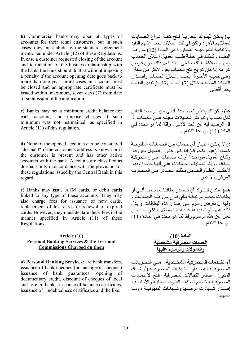**b)** Commercial banks may open all types of accounts for their retail customers, but in such cases, they must abide by the standard agreement mentioned under Article (12) of these Regulations. In case a customer requested closing of the account and termination of the business relationship with the bank, the bank should do that without imposing a penalty if the account opening date goes back to more than one year. In all cases, an account must be closed and an appropriate certificate must be issued within, maximum, seven days (7) from date of submission of the application.

**c)** Banks may set a minimum credit balance for each account, and impose charges if such minimum was not maintained, as specified in Article (11) of this regulation.

**d)** None of the opened accounts can be considered "dormant" if the customer's address is known or if the customer is present and has other active accounts with the bank. Accounts are classified as dormant only in accordance with the provisions of these regulations issued by the Central Bank in this regard.

**e)** Banks may issue ATM cards, or debit cards linked to any type of these accounts. They may also charge fees for issuance of new cards, replacement of lost cards or renewal of expired cards. However, they must declare these fees in the manner specified in Article (11) of these Regulations.

### **Article (10) Personal Banking Services & the Fees and Commissions Charged on them**

**a) Personal Banking Services:** are bank transfers, issuance of bank cheques (or manager's cheques) issuance of bank guarantees, opening of documentary credit, discount of cheques of local and foreign banks, issuance of balance certificates, issuance of indebtedness certificates and the like.

ب) يمكن للبنـوك التجاريـة فـتح كافـة أنـواع الحسابات لعملائهم الأفراد ولكن في تلك الحالات يجب عليهم التقيد بالاتفاقية النموذجية المذّكورة في المادة (12) من هذا النظـام ، كذلك فـي حالـة طلب العميـل إغـلاق الحساب وإنهاء العلاقة بالبنك ، فعلى البنك فعل ذلك بدون فرض غر امة إذا كان تاريخ فتح الحساب يعود لأكثر من سنة . .<br>وفي جميع الأحـوال يجـب إغـلاق الحـساب وإصـدار الشهادة المناسبـة خلال (7) أيام من تـاريخ تقديم الطلب بحدٍ أقصى.

جــــ) يمكن للبنوك أن تحدد حدا ً أدنــ<sub>ي</sub> من الر صبد الدائن لكل حساب وتفرض تحميلات معينـة علـى الحساب إذا قل الرصيد فيه عن الحد الأدنى ، وفقاً لما هو محدد في المادة (11) من هذا النظام .

**د) لا يمكن اعتبار أي حساب من الحسابات المفتوحة** خامداً (غير متحرك) إذا كان عنوان العميل معروفاً وكان العميل متواجداً أو لـه حسابات أخرى متحركة بالبنك ، ويتم تصنيف الحسابات على أنها خامدة وفقاً لأحكـام النظـام الخـاص بـذلك الـصادر مـن المـصرف المرآزي لا غير .

هــ) يمكـن للبنــوك أن تــصدر بطاقــات ســحب آلــي أو بطاقات خصم مرتبطـة بـأي نـوع مـن هذه الحسابات ، ولها أن تفرض رسوم على إصدار هذه البطاقات أو بدل فاقد عنها أو تجديدها عند انتهاء مدتها ، لكن يجب أن تعلن عن هذه الرسوم وفقا لما هو محدد في المادة (11) من هذا النظام .

**المادة (10) الخدمات المصرفية الشخصية والعمولات والرسوم عليها** 

**أ) الخـدمات المـصر فية الشخـصية** : هـي التحـويلات الْمـصر فيـة ، إصـدار الـشيكـات المـصر فيـة (أو شـيك المدير ) ، إصدار الكفالات المصر فية ، فتح الاعتمـادات المصر فية ، خصم شبكات البنوك المحليـة والأجنبيـة ، إصـدار شـهادات الرصـبد وشـهادات المدبونيــة ، ومـا شابهها.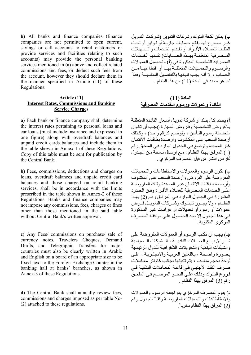**b)** All banks and finance companies (finance companies are not permitted to open current, savings or call accounts to retail customers or provide services and facilities relating to such accounts) may provide the personal banking services mentioned in (a) above and collect related commissions and fees, or deduct such fees from the account, however they should declare them in the manner specified in Article (11) of these Regulations.

### **Article (11) Interest Rates, Commissions and Banking Service Charge**s

**a)** Each bank or finance company shall determine the interest rates pertaining to personal loans and car loans (must include insurance and expressed in one figure) along with overdraft balances and unpaid credit cards balances and include them in the table shown in Annex-1 of these Regulations. Copy of this table must be sent for publication by the Central Bank.

**b)** Fees, commissions, deductions and charges on loans, overdraft balances and unpaid credit card balances and those charged on retail banking services, shall be in accordance with the limits prescribed in the table shown in Annex-2 of these Regulations. Banks and finance companies may not impose any commissions, fees, charges or fines other than those mentioned in the said table without Central Bank's written approval.

**c)** Any Fees/ commissions on purchase/ sale of currency notes, Travelers Cheques, Demand Drafts, and Telegraphic Transfers for major countries must also be clearly written in Arabic and English on a board of an appropriate size to be fixed next to the Foreign Exchange Counter in the banking hall at banks' branches, as shown in Annex-3 of these Regulations.

**d)** The Central Bank shall annually review fees, commissions and charges imposed as per table No- (2) attached to these regulations.

**ب)** يمكن لكافة البنوك وشر كات التمويل (شر كات التمويل غير مصرح لها بفتح حسابات جاريـة أو توفير أو تحت الطلب للعملاء الأفراد أو تقديم الخدمات والتسهيلات المسصر فية المتعلقية بهيذه الحسبابات) تقيديم الخيدمات المصرفية الشخصية المذكورة في (أ) وتحصيل العمولات والرسـوم والتحمـيلات المتعلقـة بُهـا أو اقتطاعهـا مـن الحساب ، إلا أنـه يجب تبيانهـا بالتفاصـيل المناسبــة وفقـاً لما هو محدد في المادة (11) من هذا النظام .

### **المادة (11) الفائدة وعمولات ورسوم الخدمات المصرفية**

أ) يحدد كل بنك أو شركة تمويل أسعار الفائدة المتعلقة بالقروض الشخصية وقروض السيارة (يجب أن تكون متضمنة رسوم التأمين ، وتوضع كرقم واحد) ، وكذلك أرصدة السحب على المكشوف وأرصدة بطاقات الائتمان غير المسددة وتوضع في الجدول الوارد في الملحق رقم (1) المرفق بهذا النظام ، مع إرسال نسخة من الجدول لغرض النشر من قبل المصرف المرآزي .

**ب)** تكون الرسوم والعمѧولات والاسѧتقطاعات والتحمѧيلات المفروضة على القروض وأرصدة السحب على المكشوف وأر صدة بطاقات الائتمان غير المسددة وتلك المفر وضية علم الخدمات المصر فية للعمـلاء الأفـر اد وفـق الحـدود المقبّر رة في الجدول اليوارد في المرفق رقم (2) بهذا النظـام ، ولا يجـوز للبنـوك وشـركات التمويـلُ فـرض عمولات أو رسوم أو تحميلات أو غرامات غير المذكورة في هذا الجدول إلا بعد الحصول على موافقة المصرف المركزي المكتوبة .

**جـ)** يجب أن تكتب الرسوم أو العمولات المفروضة على شـراء/ بيــع العمــلات النقديــة ، الـشيكات الـسياحية والشبكات البنكبة والتحويلات التلغر افية للدول الرئيسية بصورة واضحة ، باللغتين العربيبة والانجليزيبة ، علي لوحة بحجم مناسب ، بتم تثبيتها بجانب كاونتر معاملات صـرف النقد الأجنبـي فـي قاعـة المعـاملات البنكيـة فـي فروع البنوك وذلك على النحـو الموضـح فـي الملحقّ رقم (3) المرفق بهذا النظام .

د) يقوم المصرف المركزي بمراجعة الرسوم والعمولات والاستقطاعات والتحميلات المفروضية وفقاً للجدول رقم (2) المرفق بهذا النظام سنويا.ً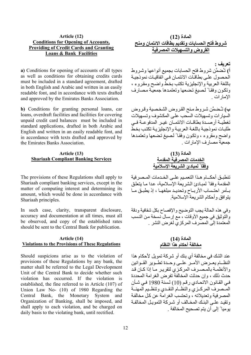# **Article (12) Conditions for Opening of Accounts, Providing of Credit Cards and Granting Loans & Bank Facilities**

**a)** Conditions for opening of accounts of all types as well as conditions for obtaining credits cards must be included in a standard agreement, drafted in both English and Arabic and written in an easily readable font, and in accordance with texts drafted and approved by the Emirates Banks Association.

**b)** Conditions for granting personal loans, car loans, overdraft facilities and facilities for covering unpaid credit card balances must be included in standard applications, drafted in both Arabic and English and written in an easily readable font, and in accordance with texts drafted and approved by the Emirates Banks Association.

# **Article (13) Shariaah Compliant Banking Services**

The provisions of these Regulations shall apply to Shariaah compliant banking services, except in the matter of computing interest and determining its amount, which would be done in accordance with Shariaah principles.

In such case, clarity, transparent disclosure, accuracy and documentation at all times, must all be observed, and copy of the established rates should be sent to the Central Bank for publication.

# **Article (14) Violations to the Provisions of These Regulations**

Should suspicions arise as to the violation of provisions of these Regulations by any bank, the matter shall be referred to the Legal Development Unit of the Central Bank to decide whether such violation has occurred. If the violation is established, the fine referred to in Article (107) of Union Law No- (10) of 1980 Regarding the Central Bank, the Monetary System and Organization of Banking, shall be imposed, and shall apply to each violation, and be charged on daily basis to the violating bank, until rectified.

**تعريف : أ)** تـُضمَّن شروط فتح الحسابات بجميع أنواعها وشѧروط الْحصول على بطاقـات الائتمـان فـي اتفاقيـات نموذجيـة باللغة العربية والإنجليزية تكتب بخط واضح ومقروء ، وتكون وفقاً لصيغ تضعها وتعتمدها جمعيّة مصارف الإمارات .

**ب)** تـُـضمَّن شروط مـنح القروض الشخصية وقروض السيار ات وتسهيلات السحب على المكشوف وتسهيلات تغطيـة أرصيدة بطاقيات الائتميان غيير المدفوعية في طلبات نمو ذجيـة باللغـة العربيـة والإنجليزيـة تكتب بخطّ واضح ومقروء ، وتكون وفقاً لصيغ تضعها وتعتمدها جمعية مصارف الإمارات .

**المادة (13) الخدمات المصرفية المقدمة وفقاً لمبادئ الشريعة الإسلامية** 

تنطبـق أحكــام هـذا التعمـيم علــى الخـدمات المـصر فية المقدمة وفقاً لمبادئ الشريعة الإسلامية، عدا ما يتعلق بـأمر احتـساب الأربـاح وتحديـد مبلغهـا ، إذ يطبـق مـا يتوافق وأحكام الشريعة الإسلامية.

وفي هذه الحالة يجب التوضيح والإفصاح بكل شفافية ودقة والتوثيق في جميع الأوقات ، مع إرسال نسخة من النسب المعتمدة إلى المصرف المرآزي لغرض النشر .

# **المادة (14) مخالفة أحكام هذا النظام**

عند الشك في مخالفة أي بنك أو شرآة تمويل لأحكام هذا النظ\م يعـرْض الأمـرُّ علــي وحـدة تطــوير القــوانين والأنظمـة بالمـصـرف المركـزي لتقريـر مـا إذا كـان قد حدث ذلك ، وإن حدثت المخالفة تفرض الغرامة المحددة في القـانون الاتحـادي رقم (10) لـسنة 1980 فـي شـأن المـّـصرف المركـزيّ والنظـُام النقـدي وتنظـيم المهنــة المصر فية وتعديلاته ، وتحتسب الغرامة عن كل مخالفة و تقيد على البنك المخـالف أو شركة التمويـل المخالفـة يومياً إلى أن يتم تصحيح المخالفة .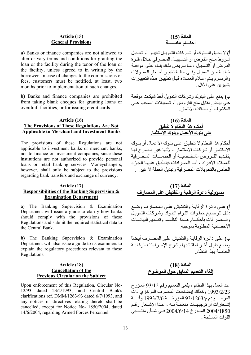# **Article (15) General Provisions**

**a)** Banks or finance companies are not allowed to alter or vary terms and conditions for granting the loan or the facility during the tenor of the loan or the facility, unless agreed to in writing by the borrower. In case of changes to the commissions or fees, customers must be notified, at least, two months prior to implementation of such changes.

**b)** Banks and finance companies are prohibited from taking blank cheques for granting loans or overdraft facilities, or for issuing credit cards.

# **Article (16) The Provisions of These Regulations Are Not Applicable to Merchant and Investment Banks**

The provisions of these Regulations are not applicable to investment banks or merchant banks, nor to finance or investment companies, since these institutions are not authorized to provide personal loans or retail banking services. Moneychangers, however, shall only be subject to the provisions regarding bank transfers and exchange of currency.

# **Article (17) Responsibilities of the Banking Supervision & Examination Department**

**a)** The Banking Supervision & Examination Department will issue a guide to clarify how banks should comply with the provisions of these Regulations and submit the required statistical data to the Central Bank.

**b)** The Banking Supervision & Examination Department will also issue a guide to its examiners to explain the regulatory procedures relevant to these Regulations.

# **Article (18) Cancellation of the Previous Circular on the Subject**

Upon enforcement of this Regulation, Circular No-<br>12/93 dated 23/2/1993, and Central Bank's clarifications ref. DMM/1263/93 dated 6/7/1993, and any notices or directives relating thereto shall be cancelled, except for Notice No- 1850/2004, dated 14/6/2004, regarding Armed Forces Personnel.

**أ) لا يحـق للبــنوك أو شـر كات التمو يـل تغييـر أو تعـديل** شروط منّح القرض أو التّسهيـل المصرفي خـلال فترة القرض أو التسهيل ، مـا لـم يكن ذلك بنـاء علـي موافقـة خطيـة مـن العميـل وفـي حالـة تغييـر أسـعار العمـولات والرسوم يتم إعلام العمّلاء قبل تطبيق هذه التغييرات بشهرين على الأقل .

**ب)** يمنع على البنوك وشرآات التمويل أخذ شيكات موقعѧة علٰى بياّض مقابل منح القروض أو تسهيلات السحب علمي المكشوف أو بطاقات الائتمان.

# **المادة (16) أحكام هذا النظام لا تنطبق على بنوك الأعمال وبنوك الاستثمار**

أحكام هذا النظام لا تنطبق على بنوك الأعمـال أو بنوك الاستثمار أو شركات الاستثمار ، لأنها غير مصرح لها بتقـديم القـر وض الشخـصيــة أو الخدمـــات المـصر فية للعمـلاء الأفراد ، أمـا الـصرافات فينطبـق عليهـا الجـزء الخاص بالتحويلات المصرفية وتبديل العملة لا غير .

### **المادة (17) مسؤولية دائرة الرقابة والتفتيش على المصارف**

أ**)** علي دائر ة الر قابـة و التفتيش علـي المـصار ف وضـع دليل لتوضيح خطوات التزام البنوك وشركات التمويل والمـصرافات بأحكــام هــذا النظــام وتقــديم البيانـــات الإحصائية المطلوبة بموجبه.

**ب)** علѧى دائѧرة الرقابѧة والتفتѧيش علѧى المѧصارف أيѧضاً وضمع دليل آخر لمفتشيها يشرح الإجراءات الرقابية الخاصة بهذا النظام.

# **المادة (18) إلغاء التعميم السابق حول الموضوع**

عند العمل بهذا النظام ، يلغي التعميم رقم 93/12 المؤرخ 1993/2/23 وكذلك إيضاحات المصرف المركزي ذات المرجــــع دم م/1263/93 المؤرخــــة 1993/7/6 وأيــــة إشعار ات أو توجيهـات متعلقـة بـه ، عـدا الإشـعار رقـم المـؤرخ 2004/6/14 فـي شـأن منتـسبي $2004/4850$ القوات المسلحة **.**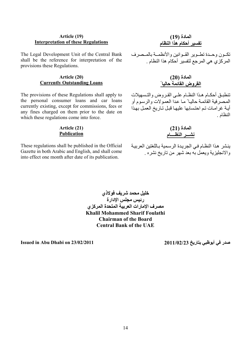# **Article (19) Interpretation of these Regulations**

The Legal Development Unit of the Central Bank shall be the reference for interpretation of the provisions these Regulations.

# **Article (20) Currently Outstanding Loans**

The provisions of these Regulations shall apply to the personal consumer loans and car loans currently existing, except for commissions, fees or any fines charged on them prior to the date on which these regulations come into force.

# **Article (21) Publication**

These regulations shall be published in the Official Gazette in both Arabic and English, and shall come into effect one month after date of its publication.

### **المادة (19) تفسير أحكام هذا النظام**

تكون وحدة تطوير القوانين والأنظمـة بالمـصرف المرآزي هي المرجع لتفسير أحكام هذا النظام .

# **المادة (20) القروض القائمة حالياً**

تنطبق أحكام هذا النظام علمي القروض والتسهيلات المصرفية القائمة حالياً ما عدا العمولات والرسوم أو أيـة غر امـات تـم احتسابها عليهـا قبـل تـار يخ العمـل بهذا النظام .

**المادة (21) نشـــر النظــــام** 

ينشر هذا النظام في الجريدة الرسمية باللغتين العربيـة والانجليزية ويعمل به بعد شهر من تاريخ نشره .

**خليل محمد شريف فولاذي رئيس مجلس الإدارة مصرف الإمارات العربية المتحدة المرآزي Khalil Mohammed Sharif Foulathi Chairman of the Board Central Bank of the UAE**

**Issued in Abu Dhabi on 23/02/2011 2011/02/23 بتاريخ أبوظبي في صدر**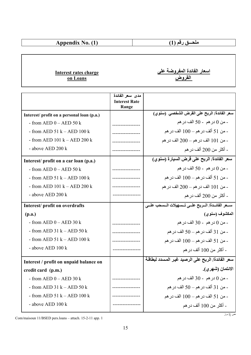| $\blacksquare$<br>.nnend<br>$- - -$<br>A<br>- 20<br>1 I D |  |
|-----------------------------------------------------------|--|
|                                                           |  |

# **Interest rates charge on Loans**

**اسعار الفائدة المفروضة على القروض**

|                                           | مدى سعر الفائدة               |                                                 |
|-------------------------------------------|-------------------------------|-------------------------------------------------|
|                                           | <b>Interest Rate</b><br>Range |                                                 |
| Interest/profit on a personal loan (p.a.) |                               | سعر الفائدة/ الربح على القرض الشخصى (سنوي)      |
| - from $AED 0 - AED 50 k$                 |                               | ـ من () در هم  ـ 50 الف در هم                   |
| - from AED $51 k - AED 100 k$             |                               | - من 51 ألف در هم — 100 الف در هم               |
| - from AED $101 k - AED 200 k$            |                               | - من 101 الف در هم ـــ 200 الف در هم            |
| - above AED 200 k                         |                               | ـ أكثر من 200 ألف در هم                         |
| Interest/ profit on a car loan (p.a.)     |                               | سعر الفائدة/ الربح على قرض السيارة (سنوي)       |
| - from $AED 0 - AED 50 k$                 |                               | ـ من () در هم  ـ 50 الف در هم                   |
| - from AED 51 $k - AED$ 100 $k$           |                               | - من 51 ألف در هم — 100 الف در هم               |
| - from AED $101 k - AED 200 k$            |                               | - من 101 الف در هم ـــ 200 الف در هم            |
| - above AED 200 k                         |                               | ـ أكثر من 200 ألف در هم                         |
|                                           |                               |                                                 |
| Interest/profit on overdrafts             |                               | سسعر الفائسدة/ السريح علسي تسمهيلات السمحب علسي |
| (p.a.)                                    |                               | المكشوف (سنوي)                                  |
| - from $AED 0 - AED 30 k$                 |                               | ـ من () در هم  ـ 30 الف در هم                   |
| - from AED 31 $k - AED$ 50 $k$            |                               | ـ من 31 ألف در هم ـــ 50 الف در هم              |
| - from AED 51 $k - AED$ 100 $k$           |                               | ـ من 51 الف در هم ـــ 100 الف در هم             |
| - above AED 100 k                         |                               | - أكثر من 100 ألف در هم                         |
| Interest / profit on unpaid balance on    |                               | سعر الفائدة/ الربح على الرصيد غير المسدد لبطاقة |
| credit card (p.m.)                        |                               | الائتمان (شهري).                                |
| - from $AED 0 - AED 30 k$                 |                               | ـ من () در هم  ـ 30 الف در هم                   |
| - from AED 31 $k - AED$ 50 $k$            |                               | ـ من 31 ألف در هم ـــ 50 الف در هم              |
| - from AED 51 $k - AED$ 100 $k$           |                               | ـ من 51 الف در هم ـــ 100 الف در هم             |

Com/maisoun 11/BSED pers.loans – attach. 15-2-11 app. 1

ص ع/ م ز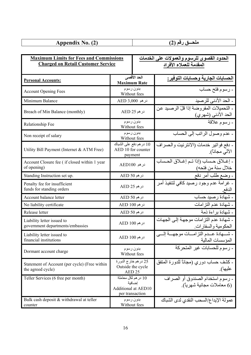| <b>No.</b><br>Appendix<br>∸ | $\overline{\phantom{0}}$<br>$-$ |
|-----------------------------|---------------------------------|
|                             |                                 |

| <b>Maximum Limits for Fees and Commissions</b><br><b>Charged on Retail Customer Service</b> |                                                                                |  | الحدود القصوى للرسوم والعمولات على الخدمات<br>المقدمة للعملاء الأفراد |
|---------------------------------------------------------------------------------------------|--------------------------------------------------------------------------------|--|-----------------------------------------------------------------------|
| <b>Personal Accounts:</b>                                                                   | الحد الأقصى<br><b>Maximum Rate</b>                                             |  | الحسابات الجارية وحسابات التوفير :                                    |
| <b>Account Opening Fees</b>                                                                 | بدون رسوم<br>Without fees                                                      |  | - رسوم فتح حساب                                                       |
| Minimum Balance                                                                             | در هم 3,000 AED                                                                |  | - الحد الأدنى للرصيد                                                  |
| Breach of Min Balance (monthly)                                                             | در هم 25 AED                                                                   |  | - التحميلات المفر وضنة إذا قلّ الرصيد عن<br>الحد الأدنى (شهري)        |
| Relationship Fee                                                                            | بدون رسوم<br>Without fees                                                      |  | - رسوم علاقة                                                          |
| Non receipt of salary                                                                       | بدون رسوم<br>Without fees                                                      |  | - عدم وصول الرانب إلى الحساب                                          |
| Utility Bill Payment (Internet & ATM Free)                                                  | 10 در هم دفع على الشباك<br>AED 10 for counter<br>payment                       |  | ـ دفع فواتير خدمات (الانترنيت والصراف<br>الآلي مجاناً).               |
| Account Closure fee (if closed within 1 year<br>of opening)                                 | درهم AED100                                                                    |  | - إغــلاق حــساب (إذا تــم إغــلاق الحـساب<br>خلال سنة من فتحه)       |
| Standing Instruction set up.                                                                | در هم AED 50                                                                   |  | - وضع طلب أمر دفع                                                     |
| Penalty fee for insufficient<br>funds for standing orders                                   | در هم 25 AED                                                                   |  | ۔ غرامة عدم وجود رصيد كافي لتنفيذ أمر<br>الدفع.                       |
| Account balance letter                                                                      | در هم AED 50                                                                   |  | - شهادة رصيد حساب                                                     |
| No liability certificate                                                                    | در هم 100 AED                                                                  |  | - شهادة عدم التز امات                                                 |
| Release letter                                                                              | در هم AED 50                                                                   |  | - شهادة براءة ذمة                                                     |
| Liability letter issued to<br>government departments/embassies                              | در هم 100 AED                                                                  |  | - شهادة عدم التزامات موجهة إلـي الجهـات<br>الحكومية والسفارات         |
| Liability letter issued to<br>financial institutions                                        | در هم 100 AED                                                                  |  | - شـــهادة عـــدم التزامـــات موجهـــة إلـــى<br>المؤسسات المالية     |
| Dormant account charge                                                                      | بدون رسوم<br>Without fees                                                      |  | - رسوم للحسابات غير المتحركة                                          |
| Statement of Account (per cycle) (Free within<br>the agreed cycle)                          | 25 در هم خار ج الدورة<br>Outside the cycle<br>AED <sub>25</sub>                |  | ـ كشف حساب دوري (مجانـًا للدورة المتفق<br>عليها).                     |
| Teller Services (6 free per month)                                                          | 10 در هم لكل معاملة<br>إضافية<br><b>Additional at AED10</b><br>per transaction |  | ـ رسوم استخدام الصندوق أو الصراف<br>(6 معاملات مجانية شهرياً).        |
| Bulk cash deposit & withdrawal at teller<br>counter                                         | بدون رسوم<br>Without fees                                                      |  | عمولة الإيداع/السحب النقدي لدى الشباك                                 |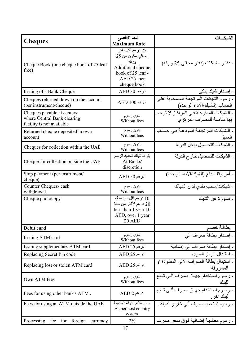|                                                                                        | الحد الأقصى                                                                                                          | الشىكسات                                                               |
|----------------------------------------------------------------------------------------|----------------------------------------------------------------------------------------------------------------------|------------------------------------------------------------------------|
| <b>Cheques</b>                                                                         | <b>Maximum Rate</b>                                                                                                  |                                                                        |
| Cheque Book (one cheque book of 25 leaf<br>free)                                       | 25 در هم لكل دفتر<br>إضافي مكون من 25<br>ورقة<br>Additional cheque<br>book of 25 leaf -<br>AED 25 per<br>cheque book | ـ دفتـر الشيكات (دفتر مجانـي 25 ورقة)                                  |
| Issuing of a Bank Cheque                                                               | در هم 30 AED                                                                                                         | ۔ إصدار شيك بنكي                                                       |
| Cheques returned drawn on the account<br>(per instrument/cheque)                       | در هم 100 AED                                                                                                        | - رسوم الشبكات المرتجعة المسحوبة على<br>الحساب (للشيك/الأداة الواحدة)  |
| Cheques payable at centers<br>where Central Bank clearing<br>facility is not available | بدون رسوم<br>Without fees                                                                                            | - الشيكات المدفوعـة فـي المر اكـز لا توجـد<br>بها مقاصة للمصرف المركزي |
| Returned cheque deposited in own<br>account                                            | بدون رسوم<br>Without fees                                                                                            | - الشيكات المرتجعة المودعـة فـي حساب<br>العميل                         |
| Cheques for collection within the UAE                                                  | بدون رسوم<br>Without fees                                                                                            | - الشبكات للتحصيل داخل الدولة                                          |
| Cheque for collection outside the UAE                                                  | يترك للبنك تحديد الرسم<br>At Banks'<br>discretion                                                                    | - الشيكات للتحصيل خارج الدولة                                          |
| Stop payment (per instrument/<br>cheque)                                               | در هم AED 50                                                                                                         | ـ أمر وقف دفع (للشيك/الأداة الواحدة)                                   |
| Counter Cheques-cash<br>withdrawal                                                     | بدون رسوم<br>Without fees                                                                                            | - شيكات/سحب نقد <i>ي</i> لدى الشباك                                    |
| Cheque photocopy                                                                       | 10 در هم أقل من سنة،<br>20 در هم لأكثر من سنة<br>less than 1 year 10<br>AED, over 1 year<br><b>20 AED</b>            | - صور ة عن الشيك                                                       |
| Debit card                                                                             |                                                                                                                      | بطاقة خصم                                                              |
| Issuing ATM card                                                                       | بدون رسوم<br>Without fees                                                                                            | - إصدار بطاقة صراف آلي                                                 |
| Issuing supplementary ATM card                                                         | در هم 25 AED                                                                                                         | - إصدار بطاقة صراف ألى إضافية                                          |
| Replacing Secret Pin code                                                              | در هم 25 AED                                                                                                         | ـ استبدال الرمز السري                                                  |
| Replacing lost or stolen ATM card                                                      | در هم 25 AED                                                                                                         | ـ استبدال بطاقة الصراف الآلي المفقودة أو<br>المسروقة                   |
| Own ATM fees                                                                           | بدون رسوم<br>Without fees                                                                                            | - رسـوم اسـتخدام جهـاز صـرف ألـي تـابع<br>للننك                        |
| Fees for using other bank's ATM.                                                       | در هم AED 2                                                                                                          | ـ رسـوم اسـتخدام جهـاز صـرف ألـي تـابع<br>لبنك اخر .                   |
| Fees for using an ATM outside the UAE                                                  | حسب نظام الدولة المضيفة<br>As per host country<br>system                                                             | - رسوم استخدام صرف ألى خارج الدولة .                                   |
| Processing fee for foreign<br>currency                                                 | 2%                                                                                                                   | ـ رسوم معالجة إضافية فوق سعر صرف                                       |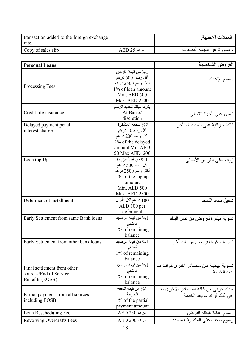| transaction added to the foreign exchange<br>rate. |              | العملات الأجنبية           |
|----------------------------------------------------|--------------|----------------------------|
| Copy of sales slip                                 | در هم 25 AED | ' - صورة عن قسيمة المبيعات |

| <b>Personal Loans</b>                  |                        | القروض الشخصية                        |
|----------------------------------------|------------------------|---------------------------------------|
|                                        | من قيمة القرض $\%1$    |                                       |
|                                        | أقل رسم 500 در هم      |                                       |
|                                        | أكثر رسم 2500 در هم    | رسوم الإعداد                          |
| Processing Fees                        | 1% of loan amount      |                                       |
|                                        | Min. AED 500           |                                       |
|                                        | Max. AED 2500          |                                       |
|                                        | يترك للبنك تحديد الرسم |                                       |
| Credit life insurance                  | At Banks'              |                                       |
|                                        | discretion             | تأمين على الحياة ائتماني              |
| Delayed payment penal                  | للدفعة المتأخر ة $\%2$ | فائدة جز ائية على السداد المتأخر      |
| interest charges                       | أقل رسم 50 در هم       |                                       |
|                                        | أكثر رسم 200 در هم     |                                       |
|                                        | 2% of the delayed      |                                       |
|                                        | amount Min AED         |                                       |
|                                        | 50 Max AED 200         |                                       |
| Loan top Up                            | من قيمة الزيادة $\%1$  | زيادة على القرض الأصلي                |
|                                        | أقل رسم 500 در هم      |                                       |
|                                        | أكثر رسم 2500 در هم    |                                       |
|                                        | 1% of the top up       |                                       |
|                                        | amount                 |                                       |
|                                        | Min. AED 500           |                                       |
|                                        | Max. AED 2500          |                                       |
| Deferment of installment               | 100 در هم لكل تأجيل    | تأجيل سداد القسط                      |
|                                        | AED 100 per            |                                       |
|                                        | deferment              |                                       |
| Early Settlement from same Bank loans  | 0% من قيمة الرصيد      | تسوية مبكرة لقروض من نفس البنك        |
|                                        | المتبقى                |                                       |
|                                        | 1% of remaining        |                                       |
|                                        | balance                |                                       |
| Early Settlement from other bank loans | من قيمة الرصيد $\%1$   | تسوية مبكرة لقروض من بنك آخر          |
|                                        | المتبقي                |                                       |
|                                        | 1% of remaining        |                                       |
|                                        | balance                |                                       |
| Final settlement from other            | 0⁄2 من قيمة الرصيد     | تسوية نهائية من مصادر أخرى/فوائد ما   |
| sources/End of Service                 | المتبقى                | بعد الخدمة                            |
| Benefits (EOSB)                        | 1% of remaining        |                                       |
|                                        | balance                |                                       |
|                                        | من قيمة الدفعة $\%1$   | سداد جزئي من كافة المصادر الأخرى، بما |
| Partial payment from all sources       | الجزئية                | في ذلك فوائد ما بعد الخدمة            |
| including EOSB                         | 1% of the partial      |                                       |
|                                        | payment amount         |                                       |
| Loan Rescheduling Fee                  | در هم 250 AED          | رسوم إعادة هيكلة القرض                |
| <b>Revolving Overdrafts Fees</b>       | در هم 200 AED          | رسوم سحب على المكشوف متجدد            |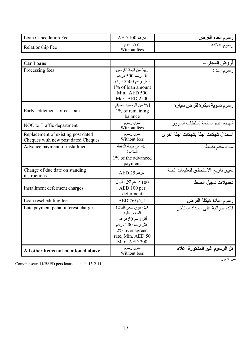| <b>Loan Cancellation Fee</b>                                              | در هم 100 AED                                                                                                                      | رسوم إلغاء القر <u>ض</u>             |
|---------------------------------------------------------------------------|------------------------------------------------------------------------------------------------------------------------------------|--------------------------------------|
| Relationship Fee                                                          | بدون رسوم<br>Without fees                                                                                                          | رسوم علاقة                           |
| <b>Car Loans</b>                                                          |                                                                                                                                    | قروض السيارات                        |
| Processing fees                                                           | من قيمة القرض $\%1$<br>أقل رسم 500 در هم<br>أكثر رسم 2500 در هم<br>1% of loan amount<br>Min. AED 500<br>Max. AED 2500              | رسوم إعداد                           |
| Early settlement for car loan                                             | من الرصيد المتبقى $\%1$<br>1% of remaining<br>balance                                                                              | رسوم تسوية مبكرة لقرض سيارة          |
| NOC to Traffic department                                                 | بدون رسوم<br>Without fees                                                                                                          | شهادة عدم ممانعة لسلطات المرور       |
| Replacement of existing post dated<br>Cheques with new post dated Cheques | بدون رسوم<br>Without fees                                                                                                          | استبدال شيكات آجلة بشيكات آجلة أخرى  |
| Advance payment of installment                                            | 1% من قيمة الدفعة<br>المقدمة<br>1% of the advanced<br>payment                                                                      | سداد مقدم لقسط                       |
| Change of due date on standing<br>instructions                            | در هم 25 AED                                                                                                                       | تغيير تاريخ الاستحقاق لتعليمات ثابتة |
| Installment deferment charges                                             | 100 در هم لكل تأجيل<br>AED 100 per<br>deferment                                                                                    | تحميلات تأجيل القسط                  |
| Loan rescheduling fee                                                     | در هم AED250                                                                                                                       | رسوم إعادة هيكلة القرض               |
| Late payment penal interest charges                                       | فوق سعر الفائدة %2<br>المتفق عليه<br>أقل رسم 50 در هم<br>أكثر رسم 200 در هم<br>2% over agreed<br>rate, Min. AED 50<br>Max. AED 200 | فائدة جزائية على السداد المتأخر      |
| All other items not mentioned above                                       | بدون رسوم<br>Without fees                                                                                                          | كل الرسوم غير المذكورة أعلاه         |

Com/maisoun 11/BSED pers.loans – attach. 15-2-11

ص ع/ م ز